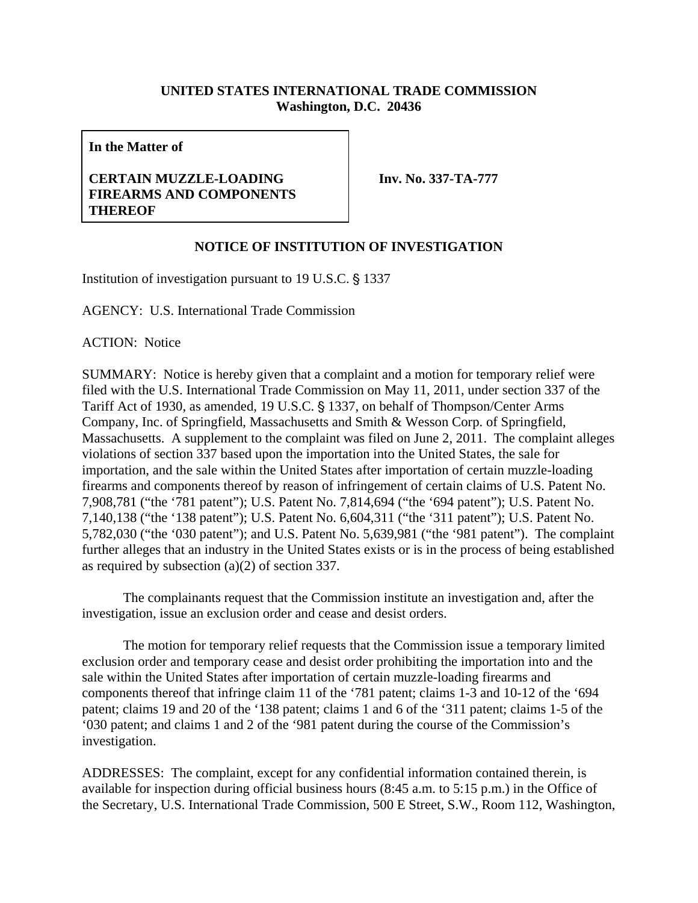## **UNITED STATES INTERNATIONAL TRADE COMMISSION Washington, D.C. 20436**

**In the Matter of** 

## **CERTAIN MUZZLE-LOADING FIREARMS AND COMPONENTS THEREOF**

**Inv. No. 337-TA-777** 

## **NOTICE OF INSTITUTION OF INVESTIGATION**

Institution of investigation pursuant to  $19$  U.S.C.  $\S$  1337

AGENCY: U.S. International Trade Commission

ACTION: Notice

SUMMARY: Notice is hereby given that a complaint and a motion for temporary relief were filed with the U.S. International Trade Commission on May 11, 2011, under section 337 of the Tariff Act of 1930, as amended, 19 U.S.C. § 1337, on behalf of Thompson/Center Arms Company, Inc. of Springfield, Massachusetts and Smith & Wesson Corp. of Springfield, Massachusetts. A supplement to the complaint was filed on June 2, 2011. The complaint alleges violations of section 337 based upon the importation into the United States, the sale for importation, and the sale within the United States after importation of certain muzzle-loading firearms and components thereof by reason of infringement of certain claims of U.S. Patent No. 7,908,781 ("the '781 patent"); U.S. Patent No. 7,814,694 ("the '694 patent"); U.S. Patent No. 7,140,138 ("the '138 patent"); U.S. Patent No. 6,604,311 ("the '311 patent"); U.S. Patent No. 5,782,030 ("the '030 patent"); and U.S. Patent No. 5,639,981 ("the '981 patent"). The complaint further alleges that an industry in the United States exists or is in the process of being established as required by subsection (a)(2) of section 337.

The complainants request that the Commission institute an investigation and, after the investigation, issue an exclusion order and cease and desist orders.

The motion for temporary relief requests that the Commission issue a temporary limited exclusion order and temporary cease and desist order prohibiting the importation into and the sale within the United States after importation of certain muzzle-loading firearms and components thereof that infringe claim 11 of the '781 patent; claims 1-3 and 10-12 of the '694 patent; claims 19 and 20 of the '138 patent; claims 1 and 6 of the '311 patent; claims 1-5 of the '030 patent; and claims 1 and 2 of the '981 patent during the course of the Commission's investigation.

ADDRESSES: The complaint, except for any confidential information contained therein, is available for inspection during official business hours (8:45 a.m. to 5:15 p.m.) in the Office of the Secretary, U.S. International Trade Commission, 500 E Street, S.W., Room 112, Washington,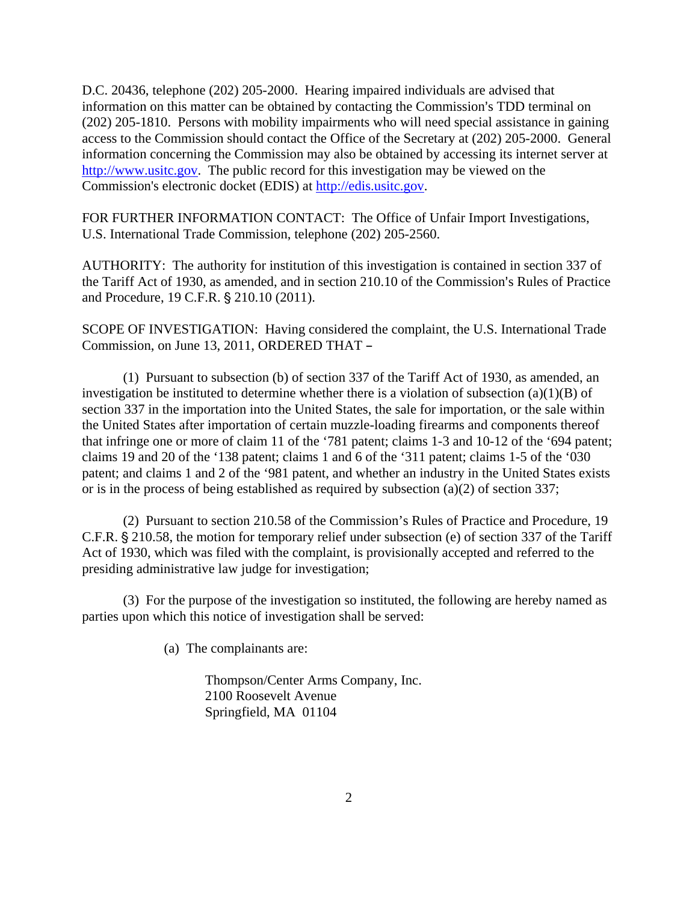D.C. 20436, telephone (202) 205-2000. Hearing impaired individuals are advised that information on this matter can be obtained by contacting the Commission's TDD terminal on (202) 205-1810. Persons with mobility impairments who will need special assistance in gaining access to the Commission should contact the Office of the Secretary at (202) 205-2000. General information concerning the Commission may also be obtained by accessing its internet server at http://www.usitc.gov. The public record for this investigation may be viewed on the Commission's electronic docket (EDIS) at http://edis.usitc.gov.

FOR FURTHER INFORMATION CONTACT: The Office of Unfair Import Investigations, U.S. International Trade Commission, telephone (202) 205-2560.

AUTHORITY: The authority for institution of this investigation is contained in section 337 of the Tariff Act of 1930, as amended, and in section 210.10 of the Commission's Rules of Practice and Procedure, 19 C.F.R. § 210.10 (2011).

SCOPE OF INVESTIGATION: Having considered the complaint, the U.S. International Trade Commission, on June 13, 2011, ORDERED THAT -

(1) Pursuant to subsection (b) of section 337 of the Tariff Act of 1930, as amended, an investigation be instituted to determine whether there is a violation of subsection  $(a)(1)(B)$  of section 337 in the importation into the United States, the sale for importation, or the sale within the United States after importation of certain muzzle-loading firearms and components thereof that infringe one or more of claim 11 of the '781 patent; claims 1-3 and 10-12 of the '694 patent; claims 19 and 20 of the '138 patent; claims 1 and 6 of the '311 patent; claims 1-5 of the '030 patent; and claims 1 and 2 of the '981 patent, and whether an industry in the United States exists or is in the process of being established as required by subsection (a)(2) of section 337;

(2) Pursuant to section 210.58 of the Commission's Rules of Practice and Procedure, 19 C.F.R. § 210.58, the motion for temporary relief under subsection (e) of section 337 of the Tariff Act of 1930, which was filed with the complaint, is provisionally accepted and referred to the presiding administrative law judge for investigation;

(3) For the purpose of the investigation so instituted, the following are hereby named as parties upon which this notice of investigation shall be served:

(a) The complainants are:

Thompson/Center Arms Company, Inc. 2100 Roosevelt Avenue Springfield, MA 01104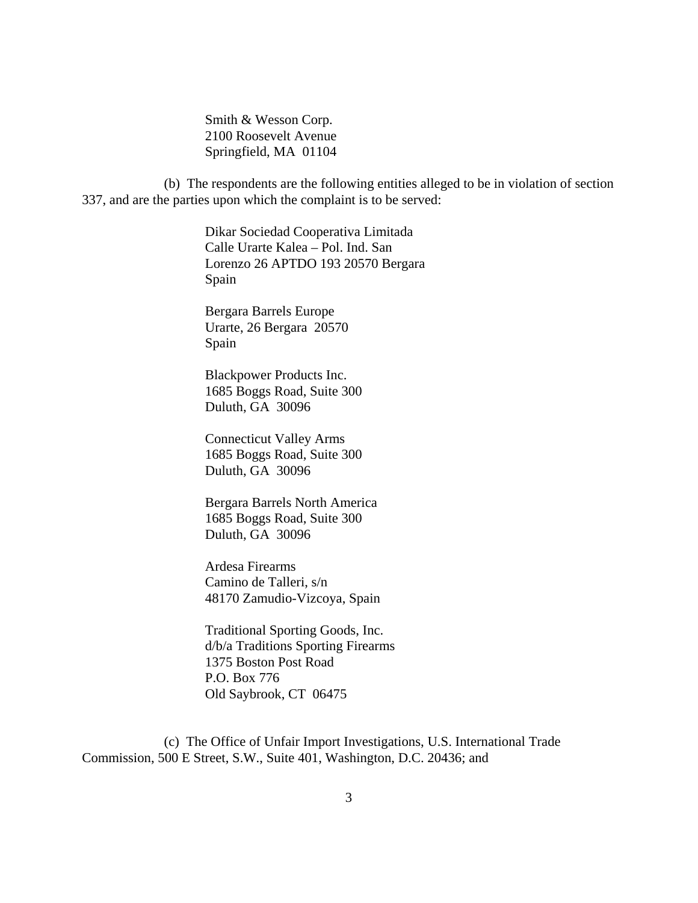Smith & Wesson Corp. 2100 Roosevelt Avenue Springfield, MA 01104

(b) The respondents are the following entities alleged to be in violation of section 337, and are the parties upon which the complaint is to be served:

> Dikar Sociedad Cooperativa Limitada Calle Urarte Kalea – Pol. Ind. San Lorenzo 26 APTDO 193 20570 Bergara Spain

 Bergara Barrels Europe Urarte, 26 Bergara 20570 Spain

 Blackpower Products Inc. 1685 Boggs Road, Suite 300 Duluth, GA 30096

 Connecticut Valley Arms 1685 Boggs Road, Suite 300 Duluth, GA 30096

 Bergara Barrels North America 1685 Boggs Road, Suite 300 Duluth, GA 30096

 Ardesa Firearms Camino de Talleri, s/n 48170 Zamudio-Vizcoya, Spain

 Traditional Sporting Goods, Inc. d/b/a Traditions Sporting Firearms 1375 Boston Post Road P.O. Box 776 Old Saybrook, CT 06475

(c) The Office of Unfair Import Investigations, U.S. International Trade Commission, 500 E Street, S.W., Suite 401, Washington, D.C. 20436; and